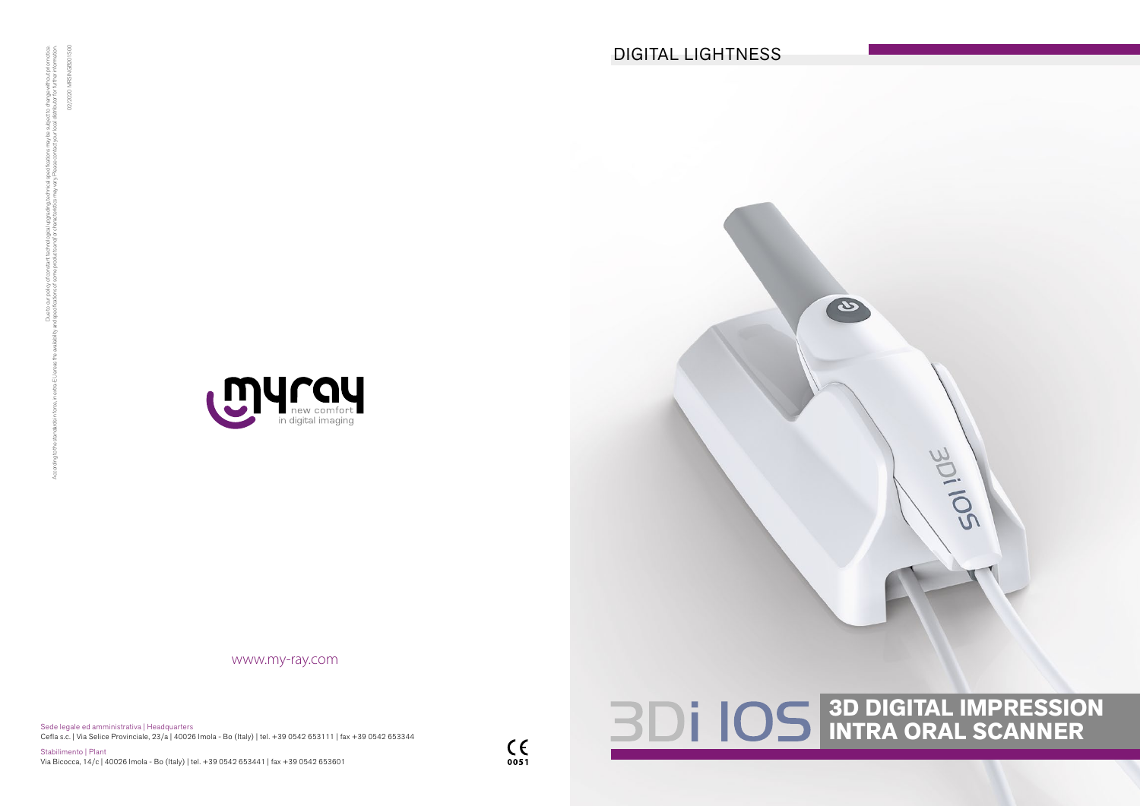Sede legale ed amministrativa | Headquarters Cefla s.c. | Via Selice Provinciale, 23/a | 40026 Imola - Bo (Italy) | tel. +39 0542 653111 | fax +39 0542 653344

Stabilimento | Plant Via Bicocca, 14/c | 40026 Imola - Bo (Italy) | tel. +39 0542 653441 | fax +39 0542 653601





# **3D DIGITAL IMPRESSION INTRA ORAL SCANNER**



www.my-ray.com

02/2020 MRSINGB201S00

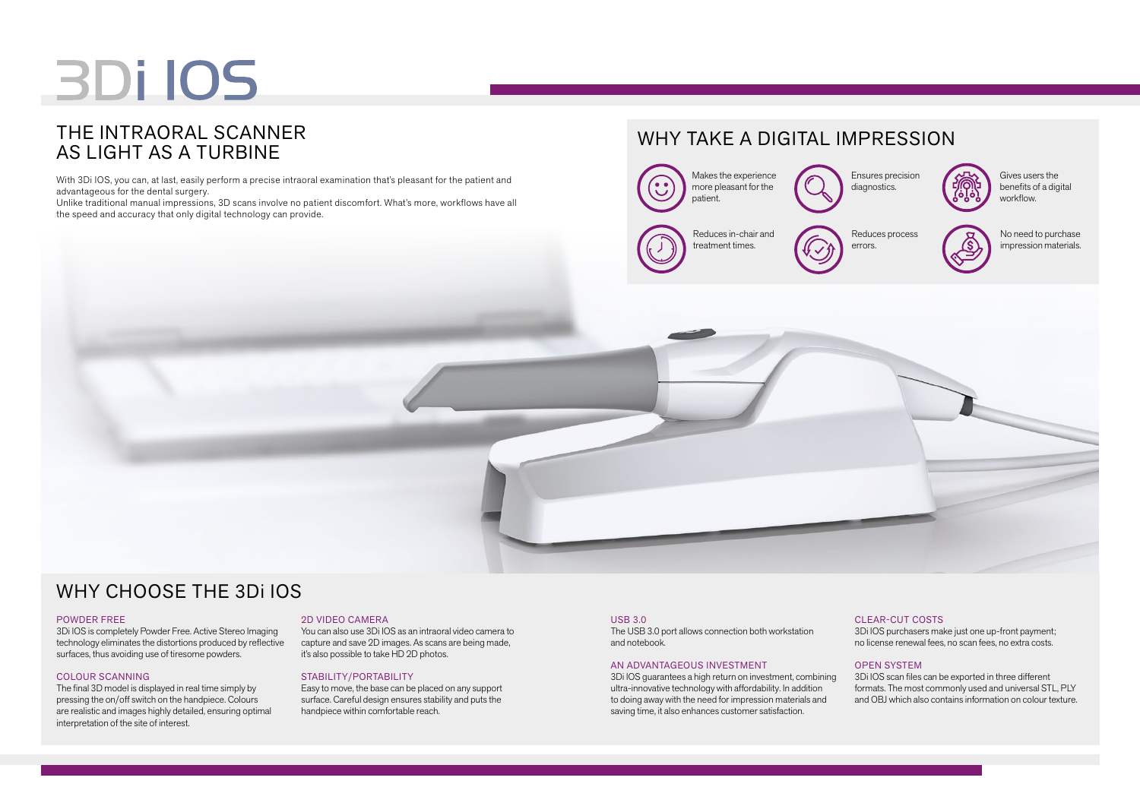# **BDi IOS**

### THE INTRAORAL SCANNER AS LIGHT AS A TURBINE

# WHY TAKE A DIGITAL IMPRESSION

Gives users the



# WHY CHOOSE THE 3Di IOS

### CLEAR-CUT COSTS

3Di IOS purchasers make just one up-front payment; no license renewal fees, no scan fees, no extra costs.

### OPEN SYSTEM

3Di IOS scan files can be exported in three different formats. The most commonly used and universal STL, PLY and OBJ which also contains information on colour texture.

#### USB 3.0

The USB 3.0 port allows connection both workstation and notebook.

### AN ADVANTAGEOUS INVESTMENT

3Di IOS guarantees a high return on investment, combining ultra-innovative technology with affordability. In addition to doing away with the need for impression materials and saving time, it also enhances customer satisfaction.

### POWDER FREE



3Di IOS is completely Powder Free. Active Stereo Imaging technology eliminates the distortions produced by reflective surfaces, thus avoiding use of tiresome powders.

### COLOUR SCANNING

The final 3D model is displayed in real time simply by pressing the on/off switch on the handpiece. Colours are realistic and images highly detailed, ensuring optimal interpretation of the site of interest.

### 2D VIDEO CAMERA

You can also use 3Di IOS as an intraoral video camera to capture and save 2D images. As scans are being made, it's also possible to take HD 2D photos.

### STABILITY/PORTABILITY

Easy to move, the base can be placed on any support surface. Careful design ensures stability and puts the handpiece within comfortable reach.

Ensures precision diagnostics.

Reduces process errors.



No need to purchase impression materials.



With 3Di IOS, you can, at last, easily perform a precise intraoral examination that's pleasant for the patient and advantageous for the dental surgery.

Unlike traditional manual impressions, 3D scans involve no patient discomfort. What's more, workflows have all the speed and accuracy that only digital technology can provide.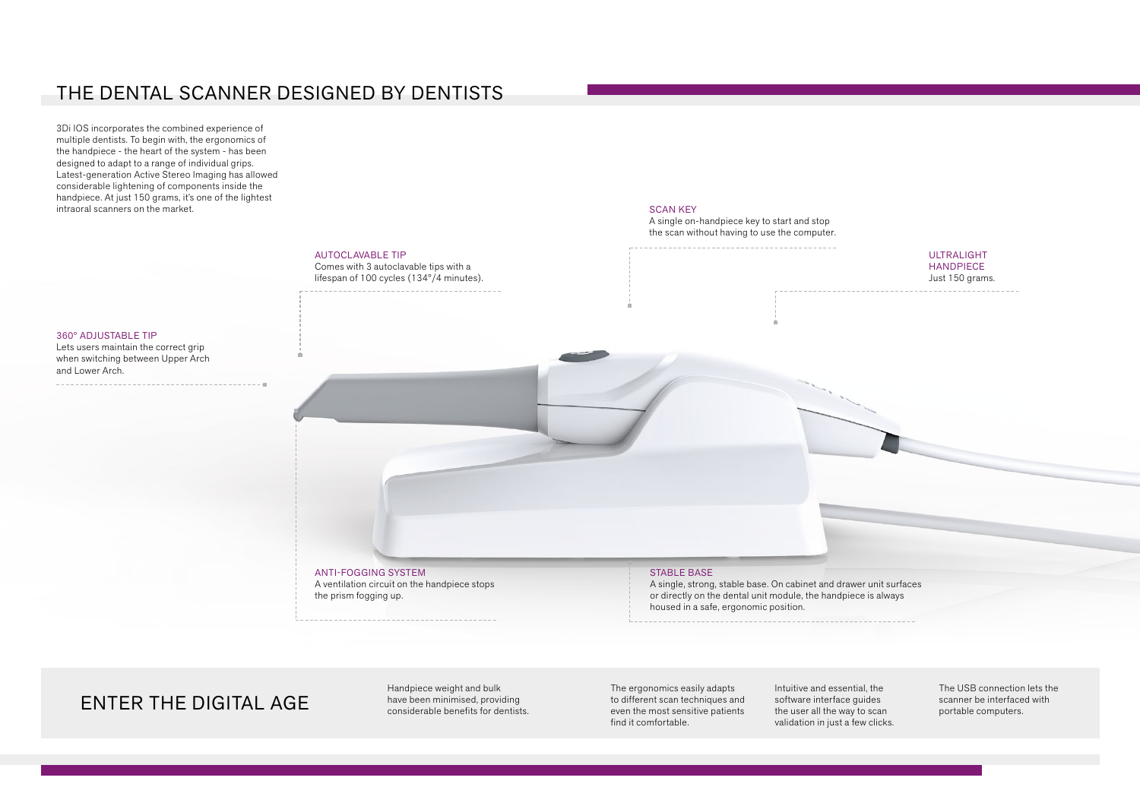### THE DENTAL SCANNER DESIGNED BY DENTISTS

3Di IOS incorporates the combined experience of multiple dentists. To begin with, the ergonomics of the handpiece - the heart of the system - has been designed to adapt to a range of individual grips. Latest-generation Active Stereo Imaging has allowed considerable lightening of components inside the handpiece. At just 150 grams, it's one of the lightest intraoral scanners on the market.

### ANTI-FOGGING SYSTEM

A ventilation circuit on the handpiece stops the prism fogging up.

### AUTOCLAVABLE TIP

Comes with 3 autoclavable tips with a lifespan of 100 cycles (134°/4 minutes).

#### SCAN KEY

A single on-handpiece key to start and stop the scan without having to use the computer.

### ULTRALIGHT HANDPIECE Just 150 grams.

#### 360° ADJUSTABLE TIP

\_\_\_\_\_\_\_\_\_\_\_\_\_\_\_\_\_\_\_\_\_\_\_\_\_\_\_\_\_

Lets users maintain the correct grip when switching between Upper Arch and Lower Arch.

### STABLE BASE

A single, strong, stable base. On cabinet and drawer unit surfaces or directly on the dental unit module, the handpiece is always housed in a safe, ergonomic position.

### ENTER THE DIGITAL AGE have been minimised, providing considerable benefits for dentists.

Handpiece weight and bulk

The ergonomics easily adapts to different scan techniques and even the most sensitive patients find it comfortable.

Intuitive and essential, the software interface guides the user all the way to scan validation in just a few clicks.

The USB connection lets the scanner be interfaced with portable computers.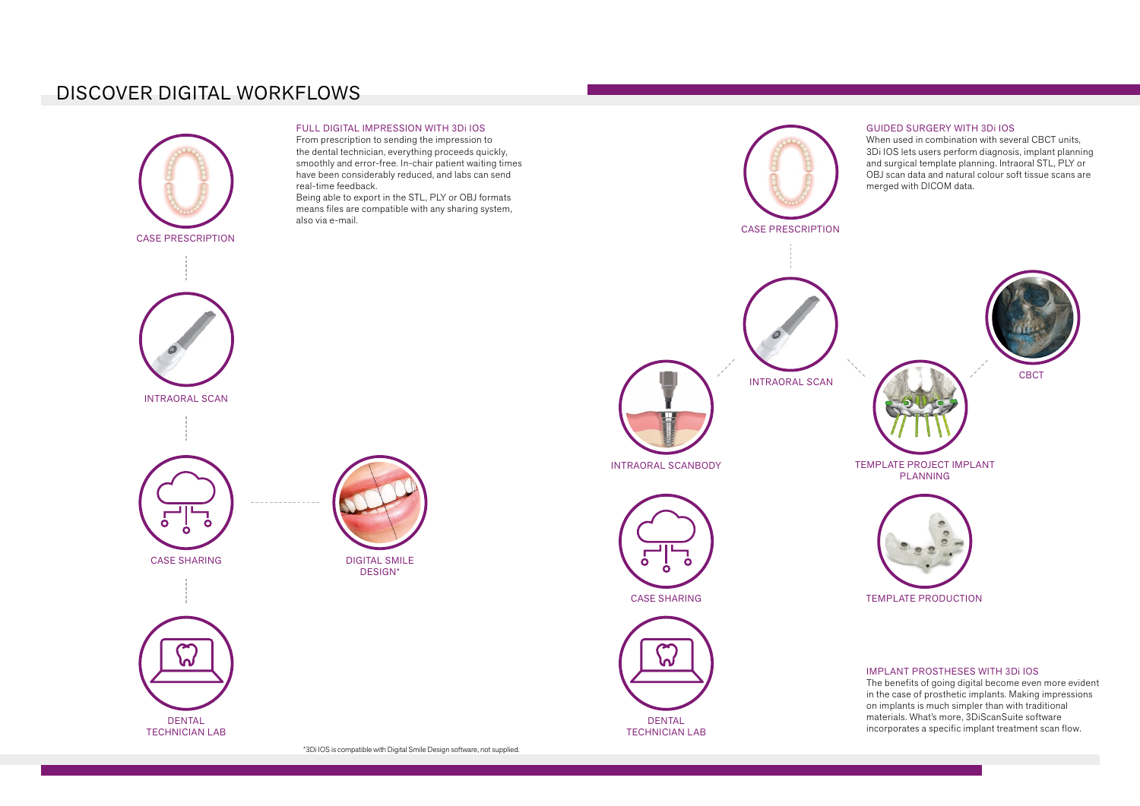# DISCOVER DIGITAL WORKFLOWS

The benefits of going digital become even more evident in the case of prosthetic implants. Making impressions



### GUIDED SURGERY WITH 3Di IOS

3Di IOS lets users perform diagnosis, implant planning and surgical template planning. Intraoral STL, PLY or OBJ scan data and natural colour soft tissue scans are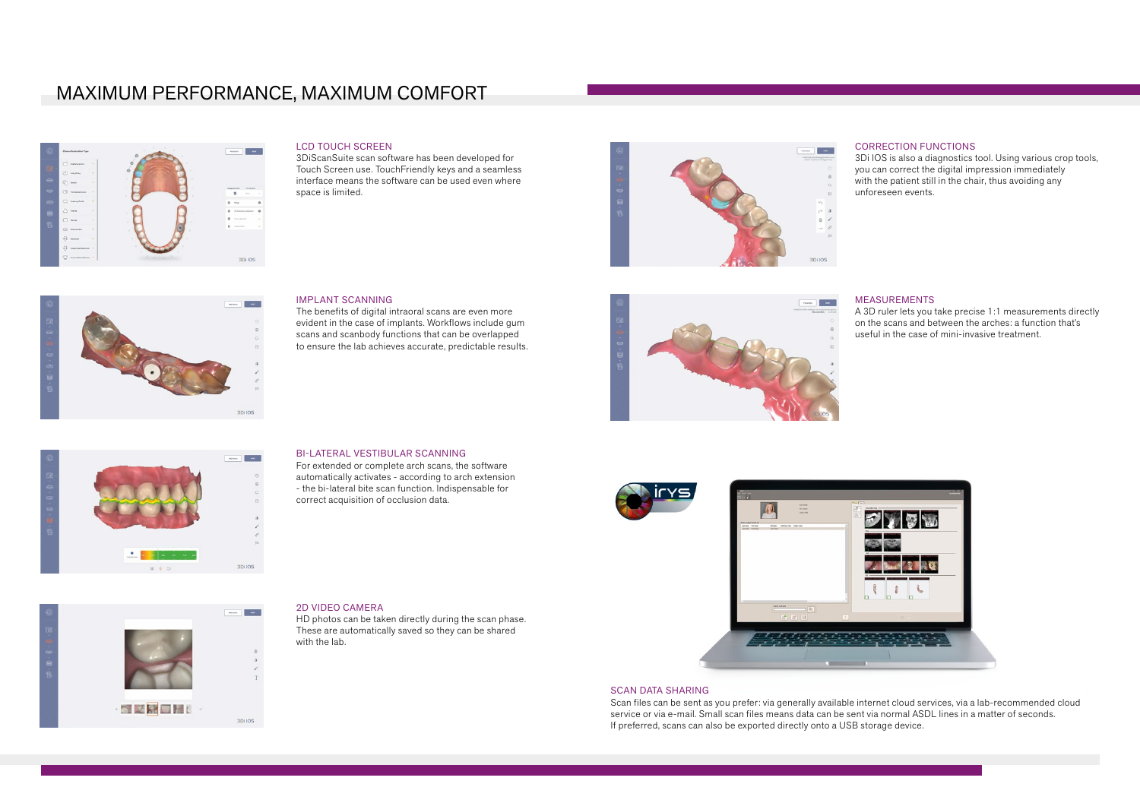### MAXIMUM PERFORMANCE, MAXIMUM COMFORT

**Contract** 

**3Di IOS** 



### LCD TOUCH SCREEN

3DiScanSuite scan software has been developed for Touch Screen use. TouchFriendly keys and a seamless interface means the software can be used even where space is limited.

### IMPLANT SCANNING

The benefits of digital intraoral scans are even more evident in the case of implants. Workflows include gum scans and scanbody functions that can be overlapped to ensure the lab achieves accurate, predictable results.

 $\overline{m}$ **Contract** 3Di IOS

### BI-LATERAL VESTIBULAR SCANNING

For extended or complete arch scans, the software automatically activates - according to arch extension - the bi-lateral bite scan function. Indispensable for correct acquisition of occlusion data.

### 2D VIDEO CAMERA

HD photos can be taken directly during the scan phase. These are automatically saved so they can be shared with the lab.









### CORRECTION FUNCTIONS

3Di IOS is also a diagnostics tool. Using various crop tools, you can correct the digital impression immediately with the patient still in the chair, thus avoiding any unforeseen events.

#### MEASUREMENTS

A 3D ruler lets you take precise 1:1 measurements directly on the scans and between the arches: a function that's useful in the case of mini-invasive treatment.



### SCAN DATA SHARING

Scan files can be sent as you prefer: via generally available internet cloud services, via a lab-recommended cloud service or via e-mail. Small scan files means data can be sent via normal ASDL lines in a matter of seconds. If preferred, scans can also be exported directly onto a USB storage device.

**College**